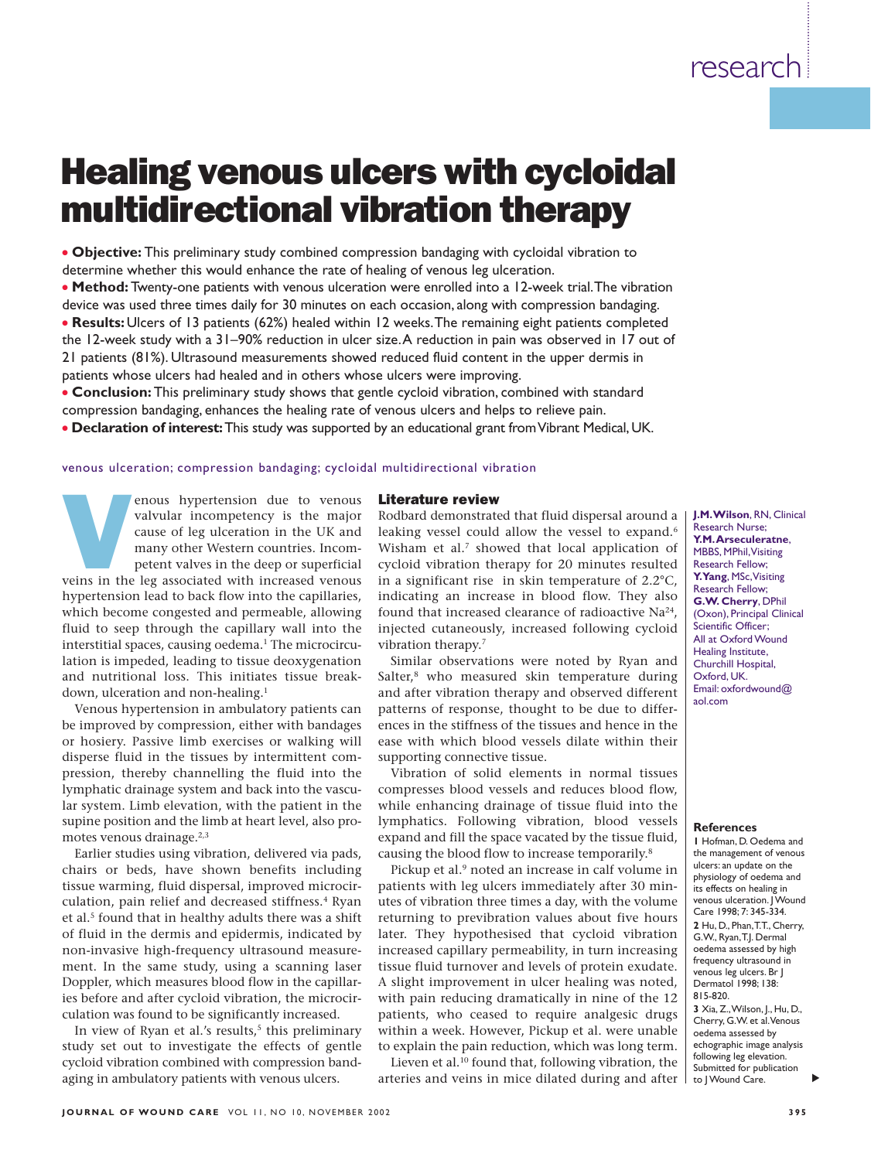# Healing venous ulcers with cycloidal multidirectional vibration therapy

● **Objective:** This preliminary study combined compression bandaging with cycloidal vibration to determine whether this would enhance the rate of healing of venous leg ulceration.

● **Method:** Twenty-one patients with venous ulceration were enrolled into a 12-week trial.The vibration device was used three times daily for 30 minutes on each occasion, along with compression bandaging.

● **Results:**Ulcers of 13 patients (62%) healed within 12 weeks.The remaining eight patients completed the 12-week study with a 31–90% reduction in ulcer size.A reduction in pain was observed in 17 out of 21 patients (81%). Ultrasound measurements showed reduced fluid content in the upper dermis in patients whose ulcers had healed and in others whose ulcers were improving.

● **Conclusion:** This preliminary study shows that gentle cycloid vibration, combined with standard

compression bandaging, enhances the healing rate of venous ulcers and helps to relieve pain.

● **Declaration of interest:**This study was supported by an educational grant from Vibrant Medical, UK.

venous ulceration; compression bandaging; cycloidal multidirectional vibration

# Literature review

enous hypertension due to venous<br>valvular incompetency is the major<br>cause of leg ulceration in the UK and<br>many other Western countries. Incom-<br>petent valves in the deep or superficial<br>veins in the leg associated with incre valvular incompetency is the major cause of leg ulceration in the UK and many other Western countries. Incompetent valves in the deep or superficial hypertension lead to back flow into the capillaries, which become congested and permeable, allowing fluid to seep through the capillary wall into the interstitial spaces, causing oedema.<sup>1</sup> The microcircu-Rodbard demonstrated that fluid dispersal around a leaking vessel could allow the vessel to expand.<sup>6</sup> Wisham et al.<sup>7</sup> showed that local application of cycloid vibration therapy for 20 minutes resulted in a significant rise in skin temperature of 2.2°C, indicating an increase in blood flow. They also found that increased clearance of radioactive Na<sup>24</sup>, injected cutaneously, increased following cycloid vibration therapy.7

> Similar observations were noted by Ryan and Salter,<sup>8</sup> who measured skin temperature during and after vibration therapy and observed different patterns of response, thought to be due to differences in the stiffness of the tissues and hence in the ease with which blood vessels dilate within their supporting connective tissue.

> Vibration of solid elements in normal tissues compresses blood vessels and reduces blood flow, while enhancing drainage of tissue fluid into the lymphatics. Following vibration, blood vessels expand and fill the space vacated by the tissue fluid, causing the blood flow to increase temporarily.8

> Pickup et al.<sup>9</sup> noted an increase in calf volume in patients with leg ulcers immediately after 30 minutes of vibration three times a day, with the volume returning to previbration values about five hours later. They hypothesised that cycloid vibration increased capillary permeability, in turn increasing tissue fluid turnover and levels of protein exudate. A slight improvement in ulcer healing was noted, with pain reducing dramatically in nine of the 12 patients, who ceased to require analgesic drugs within a week. However, Pickup et al. were unable to explain the pain reduction, which was long term.

> Lieven et al.<sup>10</sup> found that, following vibration, the arteries and veins in mice dilated during and after

**J.M.Wilson**, RN, Clinical Research Nurse; **Y.M.Arseculeratne**, MBBS, MPhil,Visiting Research Fellow; **Y.Yang**, MSc,Visiting Research Fellow; **G.W. Cherry**, DPhil (Oxon), Principal Clinical Scientific Officer; All at Oxford Wound Healing Institute, Churchill Hospital, Oxford, UK. Email: oxfordwound@ aol.com

#### **References**

**1** Hofman, D. Oedema and the management of venous ulcers: an update on the physiology of oedema and its effects on healing in venous ulceration. J Wound Care 1998; 7: 345-334. **2** Hu, D., Phan,T.T., Cherry, G.W., Ryan,T.J. Dermal oedema assessed by high frequency ultrasound in venous leg ulcers. Br J Dermatol 1998; 138: 815-820. **3** Xia, Z.,Wilson, J., Hu, D.,

Cherry, G.W. et al.Venous oedema assessed by echographic image analysis following leg elevation. Submitted for publication to I Wound Care.

In view of Ryan et al.'s results, $5$  this preliminary study set out to investigate the effects of gentle cycloid vibration combined with compression bandaging in ambulatory patients with venous ulcers.

lation is impeded, leading to tissue deoxygenation and nutritional loss. This initiates tissue break-

Venous hypertension in ambulatory patients can be improved by compression, either with bandages or hosiery. Passive limb exercises or walking will disperse fluid in the tissues by intermittent compression, thereby channelling the fluid into the lymphatic drainage system and back into the vascular system. Limb elevation, with the patient in the supine position and the limb at heart level, also pro-

Earlier studies using vibration, delivered via pads, chairs or beds, have shown benefits including tissue warming, fluid dispersal, improved microcirculation, pain relief and decreased stiffness.<sup>4</sup> Ryan et al.<sup>5</sup> found that in healthy adults there was a shift of fluid in the dermis and epidermis, indicated by non-invasive high-frequency ultrasound measurement. In the same study, using a scanning laser Doppler, which measures blood flow in the capillaries before and after cycloid vibration, the microcirculation was found to be significantly increased.

down, ulceration and non-healing.<sup>1</sup>

motes venous drainage.<sup>2,3</sup>

▲

# research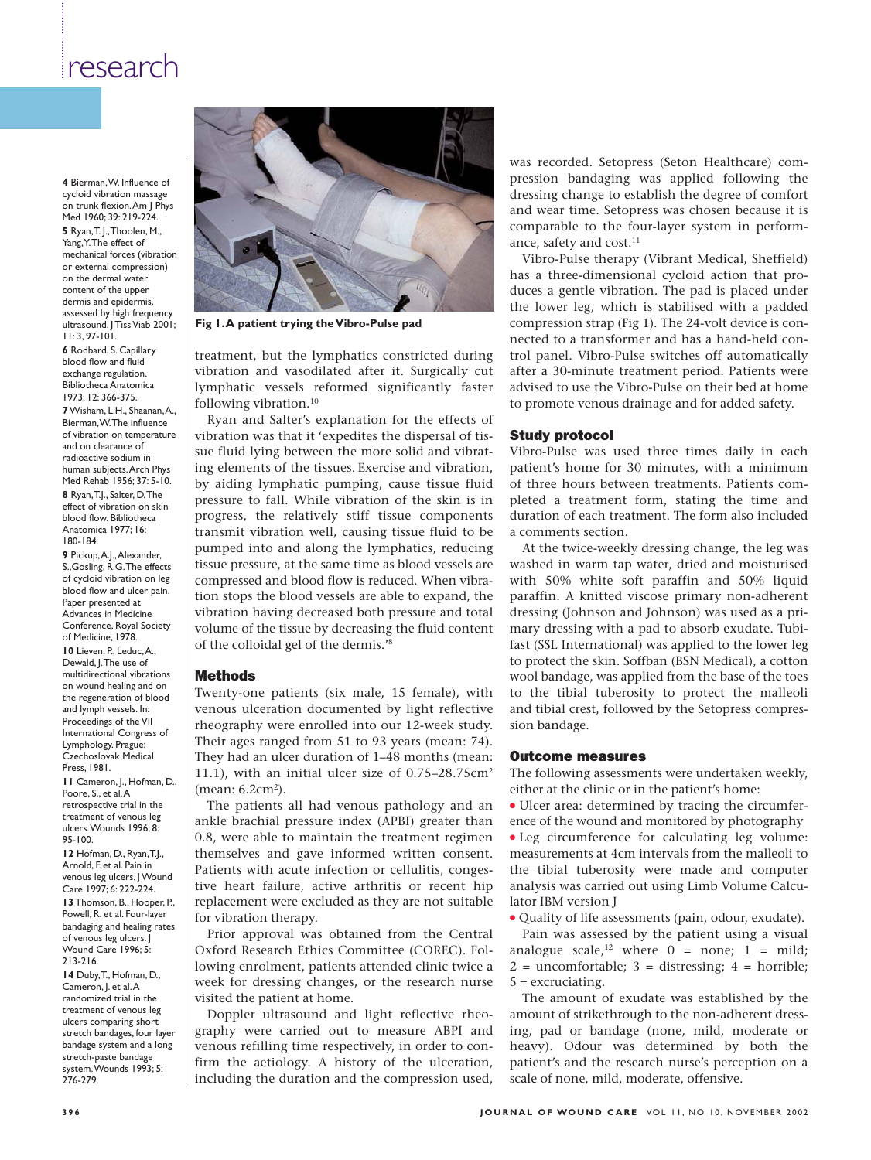# research

**4** Bierman,W. Influence of cycloid vibration massage on trunk flexion.Am J Phys Med 1960; 39: 219-224. **5** Ryan,T. J.,Thoolen, M., Yang,Y.The effect of mechanical forces (vibration or external compression) on the dermal water content of the upper dermis and epidermis, assessed by high frequency ultrasound. J Tiss Viab 2001; 11: 3, 97-101. **6** Rodbard, S. Capillary blood flow and fluid exchange regulation. Bibliotheca Anatomica 1973; 12: 366-375. **7**Wisham, L.H., Shaanan,A., Bierman,W.The influence of vibration on temperature and on clearance of radioactive sodium in human subjects.Arch Phys Med Rehab 1956; 37: 5-10. **8** Ryan,T.J., Salter, D.The effect of vibration on skin blood flow. Bibliotheca Anatomica 1977; 16: 180-184. **9** Pickup,A.J.,Alexander, S.,Gosling, R.G.The effects of cycloid vibration on leg blood flow and ulcer pain Paper presented at

Advances in Medicine Conference, Royal Society of Medicine, 1978. **10** Lieven, P., Leduc,A., Dewald, J.The use of multidirectional vibrations on wound healing and on the regeneration of blood and lymph vessels. In: Proceedings of the VII International Congress of Lymphology. Prague: Czechoslovak Medical Press, 1981. **11** Cameron, J., Hofman, D., Poore, S., et al. A

retrospective trial in the treatment of venous leg ulcers.Wounds 1996; 8: 95-100.

**12** Hofman, D., Ryan,T.J., Arnold, F. et al. Pain in venous leg ulcers. J Wound Care 1997; 6: 222-224. **13** Thomson, B., Hooper, P. Powell, R. et al. Four-layer bandaging and healing rates of venous leg ulcers. J Wound Care 1996; 5: 213-216. **14** Duby,T., Hofman, D., Cameron, J. et al.A randomized trial in the treatment of venous leg ulcers comparing short stretch bandages, four layer bandage system and a long stretch-paste bandage system.Wounds 1993; 5: 276-279.



**Fig 1.A patient trying the Vibro-Pulse pad**

treatment, but the lymphatics constricted during vibration and vasodilated after it. Surgically cut lymphatic vessels reformed significantly faster following vibration.10

Ryan and Salter's explanation for the effects of vibration was that it 'expedites the dispersal of tissue fluid lying between the more solid and vibrating elements of the tissues. Exercise and vibration, by aiding lymphatic pumping, cause tissue fluid pressure to fall. While vibration of the skin is in progress, the relatively stiff tissue components transmit vibration well, causing tissue fluid to be pumped into and along the lymphatics, reducing tissue pressure, at the same time as blood vessels are compressed and blood flow is reduced. When vibration stops the blood vessels are able to expand, the vibration having decreased both pressure and total volume of the tissue by decreasing the fluid content of the colloidal gel of the dermis.'8

# Methods

Twenty-one patients (six male, 15 female), with venous ulceration documented by light reflective rheography were enrolled into our 12-week study. Their ages ranged from 51 to 93 years (mean: 74). They had an ulcer duration of 1–48 months (mean: 11.1), with an initial ulcer size of  $0.75-28.75$ cm<sup>2</sup>  $(mean: 6.2cm<sup>2</sup>).$ 

The patients all had venous pathology and an ankle brachial pressure index (APBI) greater than 0.8, were able to maintain the treatment regimen themselves and gave informed written consent. Patients with acute infection or cellulitis, congestive heart failure, active arthritis or recent hip replacement were excluded as they are not suitable for vibration therapy.

Prior approval was obtained from the Central Oxford Research Ethics Committee (COREC). Following enrolment, patients attended clinic twice a week for dressing changes, or the research nurse visited the patient at home.

Doppler ultrasound and light reflective rheography were carried out to measure ABPI and venous refilling time respectively, in order to confirm the aetiology. A history of the ulceration, including the duration and the compression used,

was recorded. Setopress (Seton Healthcare) compression bandaging was applied following the dressing change to establish the degree of comfort and wear time. Setopress was chosen because it is comparable to the four-layer system in performance, safety and cost.<sup>11</sup>

Vibro-Pulse therapy (Vibrant Medical, Sheffield) has a three-dimensional cycloid action that produces a gentle vibration. The pad is placed under the lower leg, which is stabilised with a padded compression strap (Fig 1). The 24-volt device is connected to a transformer and has a hand-held control panel. Vibro-Pulse switches off automatically after a 30-minute treatment period. Patients were advised to use the Vibro-Pulse on their bed at home to promote venous drainage and for added safety.

### Study protocol

Vibro-Pulse was used three times daily in each patient's home for 30 minutes, with a minimum of three hours between treatments. Patients completed a treatment form, stating the time and duration of each treatment. The form also included a comments section.

At the twice-weekly dressing change, the leg was washed in warm tap water, dried and moisturised with 50% white soft paraffin and 50% liquid paraffin. A knitted viscose primary non-adherent dressing (Johnson and Johnson) was used as a primary dressing with a pad to absorb exudate. Tubifast (SSL International) was applied to the lower leg to protect the skin. Soffban (BSN Medical), a cotton wool bandage, was applied from the base of the toes to the tibial tuberosity to protect the malleoli and tibial crest, followed by the Setopress compression bandage.

### Outcome measures

The following assessments were undertaken weekly, either at the clinic or in the patient's home:

● Ulcer area: determined by tracing the circumference of the wound and monitored by photography

• Leg circumference for calculating leg volume: measurements at 4cm intervals from the malleoli to the tibial tuberosity were made and computer analysis was carried out using Limb Volume Calculator IBM version J

● Quality of life assessments (pain, odour, exudate).

Pain was assessed by the patient using a visual analogue scale,<sup>12</sup> where  $0 =$  none;  $1 =$  mild;  $2 =$  uncomfortable;  $3 =$  distressing;  $4 =$  horrible; 5 = excruciating.

The amount of exudate was established by the amount of strikethrough to the non-adherent dressing, pad or bandage (none, mild, moderate or heavy). Odour was determined by both the patient's and the research nurse's perception on a scale of none, mild, moderate, offensive.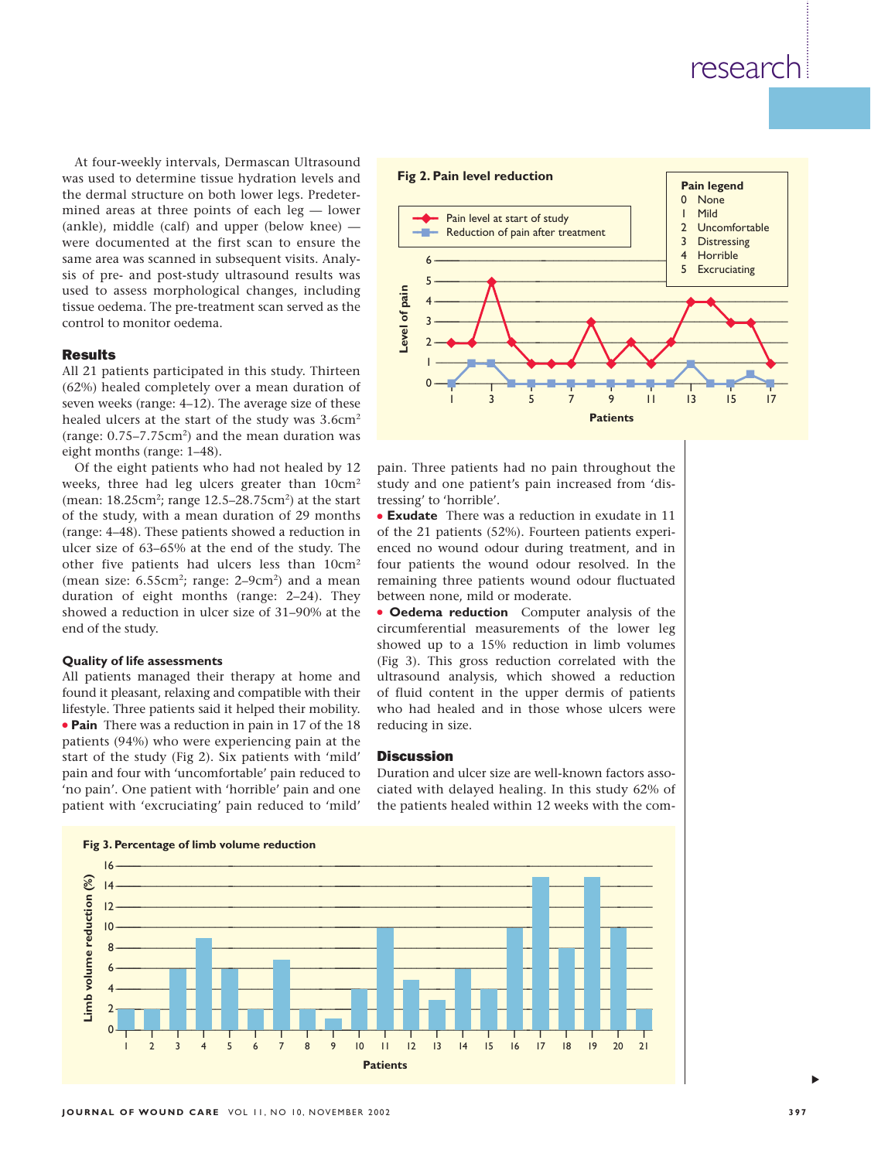# research

At four-weekly intervals, Dermascan Ultrasound was used to determine tissue hydration levels and the dermal structure on both lower legs. Predetermined areas at three points of each leg — lower (ankle), middle (calf) and upper (below knee) were documented at the first scan to ensure the same area was scanned in subsequent visits. Analysis of pre- and post-study ultrasound results was used to assess morphological changes, including tissue oedema. The pre-treatment scan served as the control to monitor oedema.

# **Docults**

All 21 patients participated in this study. Thirteen (62%) healed completely over a mean duration of seven weeks (range: 4–12). The average size of these healed ulcers at the start of the study was 3.6cm<sup>2</sup> (range: 0.75–7.75cm2) and the mean duration was eight months (range: 1–48).

Of the eight patients who had not healed by 12 weeks, three had leg ulcers greater than 10cm2 (mean: 18.25cm2; range 12.5–28.75cm2) at the start of the study, with a mean duration of 29 months (range: 4–48). These patients showed a reduction in ulcer size of 63–65% at the end of the study. The other five patients had ulcers less than 10cm2 (mean size: 6.55cm<sup>2</sup>; range: 2–9cm<sup>2</sup>) and a mean duration of eight months (range: 2–24). They showed a reduction in ulcer size of 31–90% at the end of the study.

# **Quality of life assessments**

All patients managed their therapy at home and found it pleasant, relaxing and compatible with their lifestyle. Three patients said it helped their mobility. ● **Pain** There was a reduction in pain in 17 of the 18 patients (94%) who were experiencing pain at the start of the study (Fig 2). Six patients with 'mild' pain and four with 'uncomfortable' pain reduced to 'no pain'. One patient with 'horrible' pain and one patient with 'excruciating' pain reduced to 'mild'



pain. Three patients had no pain throughout the study and one patient's pain increased from 'distressing' to 'horrible'.

● **Exudate** There was a reduction in exudate in 11 of the 21 patients (52%). Fourteen patients experienced no wound odour during treatment, and in four patients the wound odour resolved. In the remaining three patients wound odour fluctuated between none, mild or moderate.

● **Oedema reduction** Computer analysis of the circumferential measurements of the lower leg showed up to a 15% reduction in limb volumes (Fig 3). This gross reduction correlated with the ultrasound analysis, which showed a reduction of fluid content in the upper dermis of patients who had healed and in those whose ulcers were reducing in size.

# **Discussion**

Duration and ulcer size are well-known factors associated with delayed healing. In this study 62% of the patients healed within 12 weeks with the com-



▲